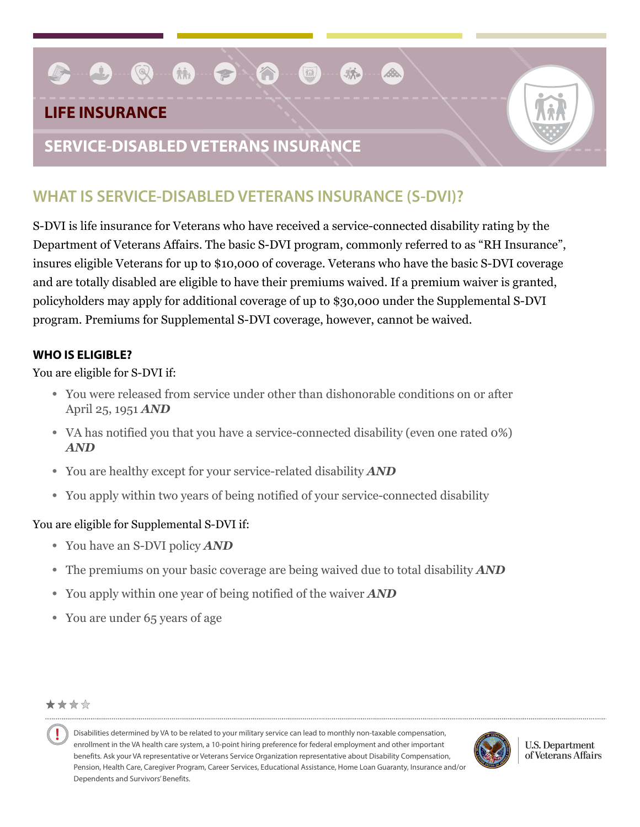# **LIFE INSURANCE**

# **SERVICE-DISABLED VETERANS INSURANCE**

 $\rightarrow$ 

**AA** 

# **WHAT IS SERVICE-DISABLED VETERANS INSURANCE (S-DVI)?**

S-DVI is life insurance for Veterans who have received a service-connected disability rating by the Department of Veterans Affairs. The basic S-DVI program, commonly referred to as "RH Insurance", insures eligible Veterans for up to \$10,000 of coverage. Veterans who have the basic S-DVI coverage and are totally disabled are eligible to have their premiums waived. If a premium waiver is granted, policyholders may apply for additional coverage of up to \$30,000 under the Supplemental S-DVI program. Premiums for Supplemental S-DVI coverage, however, cannot be waived.

ŃÀ

### **WHO IS ELIGIBLE?**

You are eligible for S-DVI if:

- You were released from service under other than dishonorable conditions on or after April 25, 1951 *AND*
- VA has notified you that you have a service-connected disability (even one rated 0%) *AND*
- You are healthy except for your service-related disability *AND*
- You apply within two years of being notified of your service-connected disability

#### You are eligible for Supplemental S-DVI if:

- You have an S-DVI policy *AND*
- The premiums on your basic coverage are being waived due to total disability *AND*
- You apply within one year of being notified of the waiver *AND*
- You are under 65 years of age

#### \*\*\*\*

Disabilities determined by VA to be related to your military service can lead to monthly non-taxable compensation, enrollment in the VA health care system, a 10-point hiring preference for federal employment and other important benefits. Ask your VA representative or Veterans Service Organization representative about Disability Compensation, Pension, Health Care, Caregiver Program, Career Services, Educational Assistance, Home Loan Guaranty, Insurance and/or Dependents and Survivors' Benefits.



**U.S. Department** of Veterans Affairs